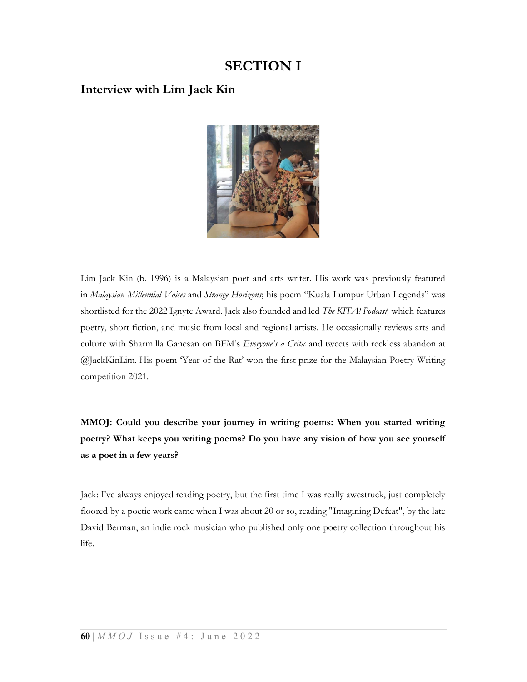# SECTION I

### Interview with Lim Jack Kin



Lim Jack Kin (b. 1996) is a Malaysian poet and arts writer. His work was previously featured in Malaysian Millennial Voices and Strange Horizons; his poem "Kuala Lumpur Urban Legends" was shortlisted for the 2022 Ignyte Award. Jack also founded and led The KITA! Podcast, which features poetry, short fiction, and music from local and regional artists. He occasionally reviews arts and culture with Sharmilla Ganesan on BFM's Everyone's a Critic and tweets with reckless abandon at @JackKinLim. His poem 'Year of the Rat' won the first prize for the Malaysian Poetry Writing competition 2021.

MMOJ: Could you describe your journey in writing poems: When you started writing poetry? What keeps you writing poems? Do you have any vision of how you see yourself as a poet in a few years?

Jack: I've always enjoyed reading poetry, but the first time I was really awestruck, just completely floored by a poetic work came when I was about 20 or so, reading "Imagining Defeat", by the late David Berman, an indie rock musician who published only one poetry collection throughout his life.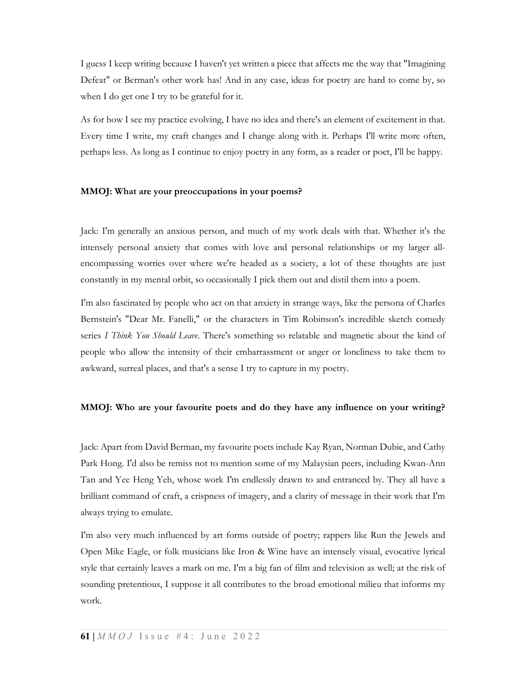I guess I keep writing because I haven't yet written a piece that affects me the way that "Imagining Defeat" or Berman's other work has! And in any case, ideas for poetry are hard to come by, so when I do get one I try to be grateful for it.

As for how I see my practice evolving, I have no idea and there's an element of excitement in that. Every time I write, my craft changes and I change along with it. Perhaps I'll write more often, perhaps less. As long as I continue to enjoy poetry in any form, as a reader or poet, I'll be happy.

#### MMOJ: What are your preoccupations in your poems?

Jack: I'm generally an anxious person, and much of my work deals with that. Whether it's the intensely personal anxiety that comes with love and personal relationships or my larger allencompassing worries over where we're headed as a society, a lot of these thoughts are just constantly in my mental orbit, so occasionally I pick them out and distil them into a poem.

I'm also fascinated by people who act on that anxiety in strange ways, like the persona of Charles Bernstein's "Dear Mr. Fanelli," or the characters in Tim Robinson's incredible sketch comedy series I Think You Should Leave. There's something so relatable and magnetic about the kind of people who allow the intensity of their embarrassment or anger or loneliness to take them to awkward, surreal places, and that's a sense I try to capture in my poetry.

#### MMOJ: Who are your favourite poets and do they have any influence on your writing?

Jack: Apart from David Berman, my favourite poets include Kay Ryan, Norman Dubie, and Cathy Park Hong. I'd also be remiss not to mention some of my Malaysian peers, including Kwan-Ann Tan and Yee Heng Yeh, whose work I'm endlessly drawn to and entranced by. They all have a brilliant command of craft, a crispness of imagery, and a clarity of message in their work that I'm always trying to emulate.

I'm also very much influenced by art forms outside of poetry; rappers like Run the Jewels and Open Mike Eagle, or folk musicians like Iron & Wine have an intensely visual, evocative lyrical style that certainly leaves a mark on me. I'm a big fan of film and television as well; at the risk of sounding pretentious, I suppose it all contributes to the broad emotional milieu that informs my work.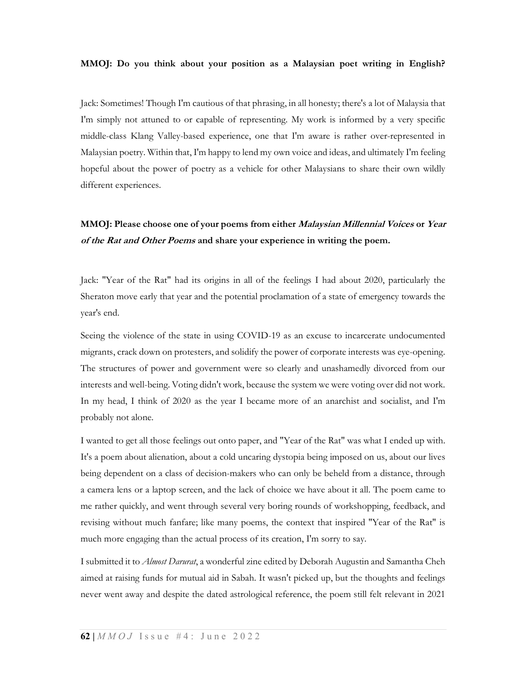#### MMOJ: Do you think about your position as a Malaysian poet writing in English?

Jack: Sometimes! Though I'm cautious of that phrasing, in all honesty; there's a lot of Malaysia that I'm simply not attuned to or capable of representing. My work is informed by a very specific middle-class Klang Valley-based experience, one that I'm aware is rather over-represented in Malaysian poetry. Within that, I'm happy to lend my own voice and ideas, and ultimately I'm feeling hopeful about the power of poetry as a vehicle for other Malaysians to share their own wildly different experiences.

### MMOJ: Please choose one of your poems from either *Malaysian Millennial Voices* or Year of the Rat and Other Poems and share your experience in writing the poem.

Jack: "Year of the Rat" had its origins in all of the feelings I had about 2020, particularly the Sheraton move early that year and the potential proclamation of a state of emergency towards the year's end.

Seeing the violence of the state in using COVID-19 as an excuse to incarcerate undocumented migrants, crack down on protesters, and solidify the power of corporate interests was eye-opening. The structures of power and government were so clearly and unashamedly divorced from our interests and well-being. Voting didn't work, because the system we were voting over did not work. In my head, I think of 2020 as the year I became more of an anarchist and socialist, and I'm probably not alone.

I wanted to get all those feelings out onto paper, and "Year of the Rat" was what I ended up with. It's a poem about alienation, about a cold uncaring dystopia being imposed on us, about our lives being dependent on a class of decision-makers who can only be beheld from a distance, through a camera lens or a laptop screen, and the lack of choice we have about it all. The poem came to me rather quickly, and went through several very boring rounds of workshopping, feedback, and revising without much fanfare; like many poems, the context that inspired "Year of the Rat" is much more engaging than the actual process of its creation, I'm sorry to say.

I submitted it to *Almost Darurat*, a wonderful zine edited by Deborah Augustin and Samantha Cheh aimed at raising funds for mutual aid in Sabah. It wasn't picked up, but the thoughts and feelings never went away and despite the dated astrological reference, the poem still felt relevant in 2021